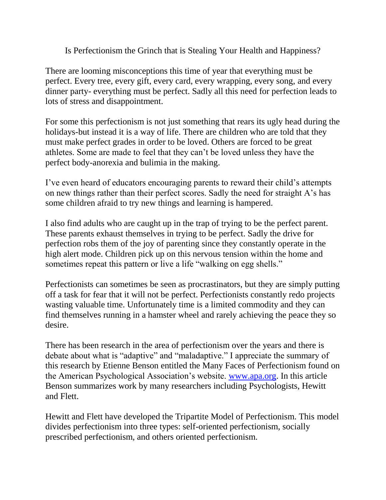Is Perfectionism the Grinch that is Stealing Your Health and Happiness?

There are looming misconceptions this time of year that everything must be perfect. Every tree, every gift, every card, every wrapping, every song, and every dinner party- everything must be perfect. Sadly all this need for perfection leads to lots of stress and disappointment.

For some this perfectionism is not just something that rears its ugly head during the holidays-but instead it is a way of life. There are children who are told that they must make perfect grades in order to be loved. Others are forced to be great athletes. Some are made to feel that they can't be loved unless they have the perfect body-anorexia and bulimia in the making.

I've even heard of educators encouraging parents to reward their child's attempts on new things rather than their perfect scores. Sadly the need for straight A's has some children afraid to try new things and learning is hampered.

I also find adults who are caught up in the trap of trying to be the perfect parent. These parents exhaust themselves in trying to be perfect. Sadly the drive for perfection robs them of the joy of parenting since they constantly operate in the high alert mode. Children pick up on this nervous tension within the home and sometimes repeat this pattern or live a life "walking on egg shells."

Perfectionists can sometimes be seen as procrastinators, but they are simply putting off a task for fear that it will not be perfect. Perfectionists constantly redo projects wasting valuable time. Unfortunately time is a limited commodity and they can find themselves running in a hamster wheel and rarely achieving the peace they so desire.

There has been research in the area of perfectionism over the years and there is debate about what is "adaptive" and "maladaptive." I appreciate the summary of this research by Etienne Benson entitled the Many Faces of Perfectionism found on the American Psychological Association's website. [www.apa.org.](http://www.apa.org/) In this article Benson summarizes work by many researchers including Psychologists, Hewitt and Flett.

Hewitt and Flett have developed the Tripartite Model of Perfectionism. This model divides perfectionism into three types: self-oriented perfectionism, socially prescribed perfectionism, and others oriented perfectionism.